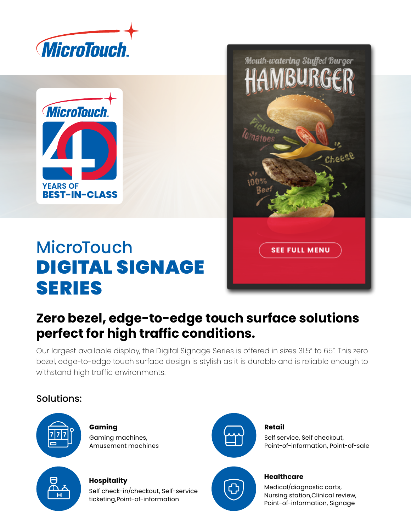



# Mouth-watering Stuffed Burger

**SEE FULL MENU** 

Cheese



# **Zero bezel, edge-to-edge touch surface solutions perfect for high traffic conditions.**

Our largest available display, the Digital Signage Series is offered in sizes 31.5" to 65". This zero bezel, edge-to-edge touch surface design is stylish as it is durable and is reliable enough to withstand high traffic environments.

## Solutions:



**Gaming** Gaming machines, Amusement machines

#### **Hospitality**

Self check-in/checkout, Self-service ticketing,Point-of-information



#### **Retail**

Self service, Self checkout, Point-of-information, Point-of-sale



#### **Healthcare**

Medical/diagnostic carts, Nursing station,Clinical review, Point-of-information, Signage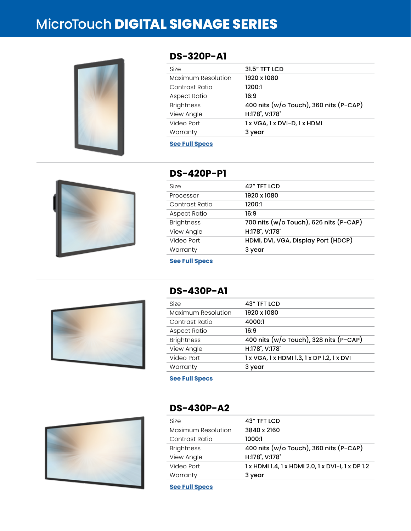# MicroTouch **DIGITAL SIGNAGE SERIES**



#### **DS-320P-A1**

| <b>Size</b>           | <b>31.5" TFT LCD</b>                   |
|-----------------------|----------------------------------------|
| Maximum Resolution    | 1920 x 1080                            |
| Contrast Ratio        | 1200:1                                 |
| Aspect Ratio          | 16:9                                   |
| <b>Brightness</b>     | 400 nits (w/o Touch), 360 nits (P-CAP) |
| View Angle            | H:178°, V:178°                         |
| Video Port            | 1 x VGA, 1 x DVI-D, 1 x HDMI           |
| Warranty              | 3 year                                 |
| <b>See Full Specs</b> |                                        |



## **DS-420P-P1**

| 42" TFT LCD                            |
|----------------------------------------|
| 1920 x 1080                            |
| 1200:1                                 |
| 16:9                                   |
| 700 nits (w/o Touch), 626 nits (P-CAP) |
| H:178°, V:178°                         |
| HDMI, DVI, VGA, Display Port (HDCP)    |
| 3 year                                 |
|                                        |

**[See Full Specs](https://microtouch.com/products/ds-420p-p1/)**



### **DS-430P-A1**

| <b>Size</b>        | 43" TFT LCD                                |
|--------------------|--------------------------------------------|
| Maximum Resolution | 1920 x 1080                                |
| Contrast Ratio     | 4000:1                                     |
| Aspect Ratio       | 16:9                                       |
| <b>Brightness</b>  | 400 nits (w/o Touch), 328 nits (P-CAP)     |
| View Angle         | H:178°, V:178°                             |
| Video Port         | 1 x VGA, 1 x HDMI 1.3, 1 x DP 1.2, 1 x DVI |
| Warranty           | 3 year                                     |

**[See Full Specs](https://microtouch.com/products/ds-430p-a1/)**



## **DS-430P-A2**

| 3840 x 2160                                       |
|---------------------------------------------------|
| 1000:1                                            |
| 400 nits $(w/o$ Touch), 360 nits $(P-CAP)$        |
| H:178°, V:178°                                    |
| 1 x HDMI 1.4, 1 x HDMI 2.0, 1 x DVI-I, 1 x DP 1.2 |
| 3 year                                            |
|                                                   |

**[See Full Specs](https://microtouch.com/products/ds-430p-a2-2/)**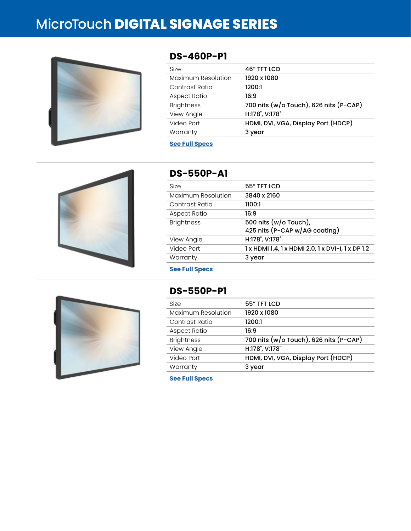# MicroTouch **DIGITAL SIGNAGE SERIES**



#### **DS-460P-P1**

| Size                | 46" TFT LCD                            |
|---------------------|----------------------------------------|
| Maximum Resolution  | 1920 x 1080                            |
| Contrast Ratio      | 1200:1                                 |
| <b>Aspect Ratio</b> | 16:9                                   |
| <b>Brightness</b>   | 700 nits (w/o Touch), 626 nits (P-CAP) |
| View Angle          | H:178°, V:178°                         |
| Video Port          | HDMI, DVI, VGA, Display Port (HDCP)    |
| Warranty            | 3 year                                 |
|                     |                                        |

#### **[See Full Specs](https://microtouch.com/products/ds-460p-p1/)**



## **DS-550P-A1**

| Size               | 55" TFT LCD                                            |
|--------------------|--------------------------------------------------------|
| Maximum Resolution | 3840 x 2160                                            |
| Contrast Ratio     | 1100:1                                                 |
| Aspect Ratio       | 16:9                                                   |
| <b>Brightness</b>  | 500 nits (w/o Touch),<br>425 nits (P-CAP w/AG coating) |
| View Angle         | H:178°, V:178°                                         |
| Video Port         | 1 x HDMI 1.4, 1 x HDMI 2.0, 1 x DVI-I, 1 x DP 1.2      |
| Warranty           | 3 year                                                 |
|                    |                                                        |

**[See Full Specs](https://microtouch.com/products/ds-550p-a1/)**



#### **DS-550P-P1**

| Size                | 55" TFT LCD                            |
|---------------------|----------------------------------------|
| Maximum Resolution  | 1920 x 1080                            |
| Contrast Ratio      | 1200:1                                 |
| <b>Aspect Ratio</b> | 16:9                                   |
| <b>Brightness</b>   | 700 nits (w/o Touch), 626 nits (P-CAP) |
| View Angle          | H:178°, V:178°                         |
| Video Port          | HDMI, DVI, VGA, Display Port (HDCP)    |
| Warranty            | 3 year                                 |

**[See Full Specs](https://microtouch.com/products/ds-550p-p1/)**